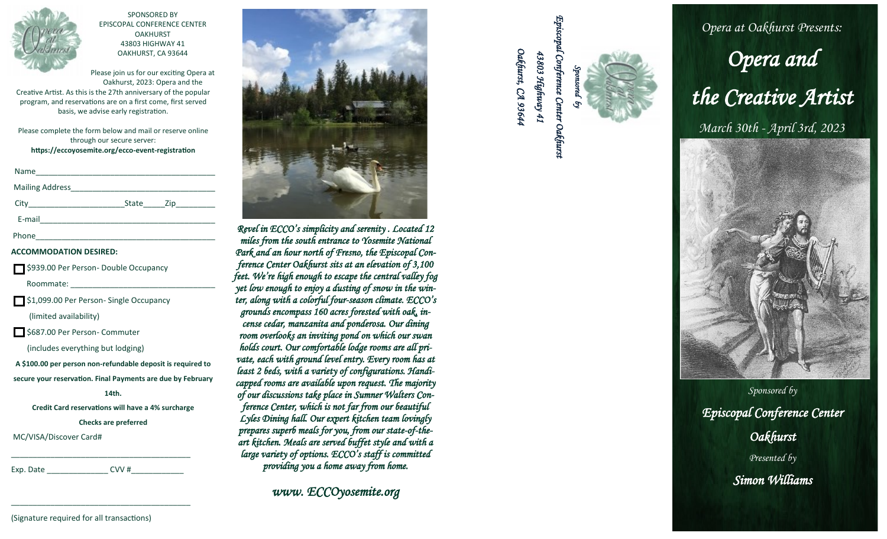

SPONSORED BY EPISCOPAL CONFERENCE CENTER **OAKHURST** 43803 HIGHWAY 41 OAKHURST, CA 93644

Please join us for our exciting Opera at Oakhurst, 2023: Opera and the Creative Artist. As this is the 27th anniversary of the popular program, and reservations are on a first come, first served basis, we advise early registration.

Please complete the form below and mail or reserve online through our secure server: **https://eccoyosemite.org/ecco -event -registration**

| Name   |       |                  |  |
|--------|-------|------------------|--|
|        |       |                  |  |
|        | State | $\mathsf{Zip}\_$ |  |
| E-mail |       |                  |  |
| Phone  |       |                  |  |

## **ACCOMMODATION DESIRED:**

|  |  | \$939.00 Per Person- Double Occupancy |
|--|--|---------------------------------------|

Roommate:

\$1,099.00 Per Person - Single Occupancy

(limited availability)

\$687.00 Per Person - Commuter

(includes everything but lodging)

**A \$100.00 per person non -refundable deposit is required to secure your reservation. Final Payments are due by February** 

**14th.** 

**Credit Card reservations will have a 4% surcharge** 

**Checks are preferred** 

\_\_\_\_\_\_\_\_\_\_\_\_\_\_\_\_\_\_\_\_\_\_\_\_\_\_\_\_\_\_\_\_\_\_\_\_\_\_\_\_\_

\_\_\_\_\_\_\_\_\_\_\_\_\_\_\_\_\_\_\_\_\_\_\_\_\_\_\_\_\_\_\_\_\_\_\_\_\_\_\_\_\_

MC/VISA/Discover Card#

Exp. Date  $CVV$  #



*Revel in ECCO's simplicity and serenity . Located 12 miles from the south entrance to Yosemite National Park and an hour north of Fresno, the Episcopal Conference Center Oakhurst sits at an elevation of 3,100 feet. We're high enough to escape the central valley fog yet low enough to enjoy a dusting of snow in the winter, along with a colorful four-season climate. ECCO's grounds encompass 160 acres forested with oak, incense cedar, manzanita and ponderosa. Our dining room overlooks an inviting pond on which our swan holds court. Our comfortable lodge rooms are all private, each with ground level entry. Every room has at least 2 beds, with a variety of configurations. Handicapped rooms are available upon request. The majority of our discussions take place in Sumner Walters Conference Center, which is not far from our beautiful Lyles Dining hall. Our expert kitchen team lovingly prepares superb meals for you, from our state -of-the art kitchen. Meals are served buffet style and with a large variety of options. ECCO's staff is committed providing you a home away from home. www. ECCO's simpliarly and serenity. Located 12*<br> *We can be sumpliarly and serenity. Located 12*<br> *m i.e. some first example Center Oakhurst 4383 Air and the south entrance to 'Oosemite National*<br> *man four morth of Fr* 





*Sponsored by Episcopal Conference Center Oakhurst Presented by Simon Williams*